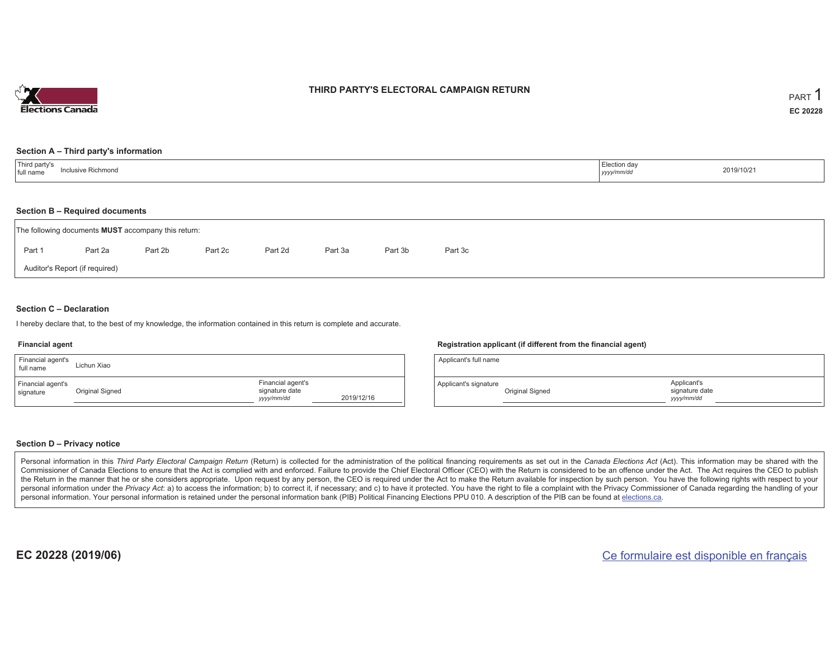

## **THIRD PARTY'S ELECTORAL CAMPAIGN RETURN**

#### **Section A – Third party's information**

| <sup>1</sup> Third party's<br>าclusive Richmond<br>full name | Election day<br>2019/10/21<br>yyyy/mm/dd |  |
|--------------------------------------------------------------|------------------------------------------|--|
|--------------------------------------------------------------|------------------------------------------|--|

#### **Section B – Required documents**

| The following documents <b>MUST</b> accompany this return: |                                |         |         |         |         |         |         |  |  |  |
|------------------------------------------------------------|--------------------------------|---------|---------|---------|---------|---------|---------|--|--|--|
| Part 1                                                     | Part 2a                        | Part 2b | Part 2c | Part 2d | Part 3a | Part 3b | Part 3c |  |  |  |
|                                                            | Auditor's Report (if required) |         |         |         |         |         |         |  |  |  |

### **Section C – Declaration**

I hereby declare that, to the best of my knowledge, the information contained in this return is complete and accurate.

#### **Financial agent**

| Financial agent's<br>full name | Lichun Xiao     |                                                   |            |
|--------------------------------|-----------------|---------------------------------------------------|------------|
| Financial agent's<br>signature | Original Signed | Financial agent's<br>signature date<br>yyyy/mm/dd | 2019/12/16 |

#### **Registration applicant (if different from the financial agent)**

| Applicant's full name |                 |                                             |
|-----------------------|-----------------|---------------------------------------------|
| Applicant's signature | Original Signed | Applicant's<br>signature date<br>yyyy/mm/dd |

#### **Section D – Privacy notice**

Personal information in this Third Party Electoral Campaign Return (Return) is collected for the administration of the political financing requirements as set out in the Canada Elections Act (Act). This information may be Commissioner of Canada Elections to ensure that the Act is complied with and enforced. Failure to provide the Chief Electoral Officer (CEO) with the Return is considered to be an offence under the Act. The Act requires the the Return in the manner that he or she considers appropriate. Upon request by any person, the CEO is required under the Act to make the Return available for inspection by such person. You have the following rights with re personal information under the Privacy Act: a) to access the information; b) to correct it, if necessary; and c) to have it protected. You have the right to file a complaint with the Privacy Commissioner of Canada regardin personal information. Your personal information is retained under the personal information bank (PIB) Political Financing Elections PPU 010. A description of the PIB can be found at elections.ca.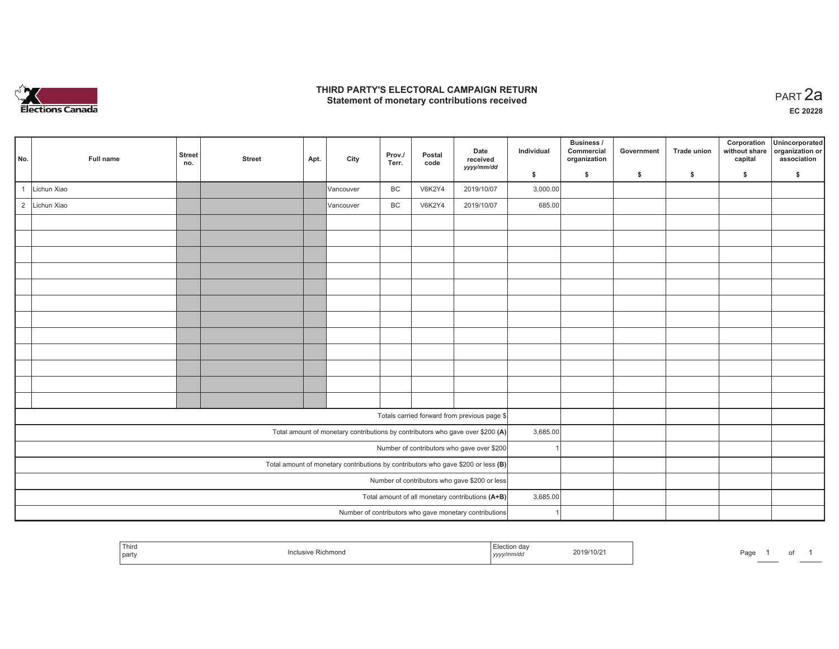

## **THIRD PARTY'S ELECTORAL CAMPAIGN RETURN HIRD PARTY'S ELECTORAL CAMPAIGN RETURN<br>Statement of monetary contributions received PART 2a**

**EC 20228**

| No.            | Full name                                        | <b>Street</b><br>no. | <b>Street</b> | Apt. | City      | Prov./<br>Terr. | Postal<br>code | Date<br>received<br>yyyy/mm/dd                                                      | Individual | Business /<br>Commercial<br>organization | Government | <b>Trade union</b> | Corporation<br>without share<br>capital | Unincorporated<br>organization or<br>association |
|----------------|--------------------------------------------------|----------------------|---------------|------|-----------|-----------------|----------------|-------------------------------------------------------------------------------------|------------|------------------------------------------|------------|--------------------|-----------------------------------------|--------------------------------------------------|
|                |                                                  |                      |               |      |           |                 |                |                                                                                     | \$         | $\mathsf{s}$                             | \$         | $\mathsf{s}$       | \$                                      | \$                                               |
|                | Lichun Xiao                                      |                      |               |      | Vancouver | BC              | <b>V6K2Y4</b>  | 2019/10/07                                                                          | 3,000.00   |                                          |            |                    |                                         |                                                  |
| $\overline{2}$ | Lichun Xiao                                      |                      |               |      | Vancouver | BC              | V6K2Y4         | 2019/10/07                                                                          | 685.00     |                                          |            |                    |                                         |                                                  |
|                |                                                  |                      |               |      |           |                 |                |                                                                                     |            |                                          |            |                    |                                         |                                                  |
|                |                                                  |                      |               |      |           |                 |                |                                                                                     |            |                                          |            |                    |                                         |                                                  |
|                |                                                  |                      |               |      |           |                 |                |                                                                                     |            |                                          |            |                    |                                         |                                                  |
|                |                                                  |                      |               |      |           |                 |                |                                                                                     |            |                                          |            |                    |                                         |                                                  |
|                |                                                  |                      |               |      |           |                 |                |                                                                                     |            |                                          |            |                    |                                         |                                                  |
|                |                                                  |                      |               |      |           |                 |                |                                                                                     |            |                                          |            |                    |                                         |                                                  |
|                |                                                  |                      |               |      |           |                 |                |                                                                                     |            |                                          |            |                    |                                         |                                                  |
|                |                                                  |                      |               |      |           |                 |                |                                                                                     |            |                                          |            |                    |                                         |                                                  |
|                |                                                  |                      |               |      |           |                 |                |                                                                                     |            |                                          |            |                    |                                         |                                                  |
|                |                                                  |                      |               |      |           |                 |                |                                                                                     |            |                                          |            |                    |                                         |                                                  |
|                |                                                  |                      |               |      |           |                 |                |                                                                                     |            |                                          |            |                    |                                         |                                                  |
|                |                                                  |                      |               |      |           |                 |                |                                                                                     |            |                                          |            |                    |                                         |                                                  |
|                |                                                  |                      |               |      |           |                 |                | Totals carried forward from previous page \$                                        |            |                                          |            |                    |                                         |                                                  |
|                |                                                  |                      |               |      |           |                 |                | Total amount of monetary contributions by contributors who gave over \$200 (A)      | 3,685.00   |                                          |            |                    |                                         |                                                  |
|                |                                                  |                      |               |      |           |                 |                | Number of contributors who gave over \$200                                          |            |                                          |            |                    |                                         |                                                  |
|                |                                                  |                      |               |      |           |                 |                | Total amount of monetary contributions by contributors who gave \$200 or less $(B)$ |            |                                          |            |                    |                                         |                                                  |
|                | Number of contributors who gave \$200 or less    |                      |               |      |           |                 |                |                                                                                     |            |                                          |            |                    |                                         |                                                  |
|                | Total amount of all monetary contributions (A+B) |                      |               |      |           |                 |                |                                                                                     | 3,685.00   |                                          |            |                    |                                         |                                                  |
|                |                                                  |                      |               |      |           |                 |                | Number of contributors who gave monetary contributions                              |            |                                          |            |                    |                                         |                                                  |

|  | Third<br>' party |  | $\cdots$<br>,,,,, | 019/10/z | Page |  | ັບເ |  |
|--|------------------|--|-------------------|----------|------|--|-----|--|
|--|------------------|--|-------------------|----------|------|--|-----|--|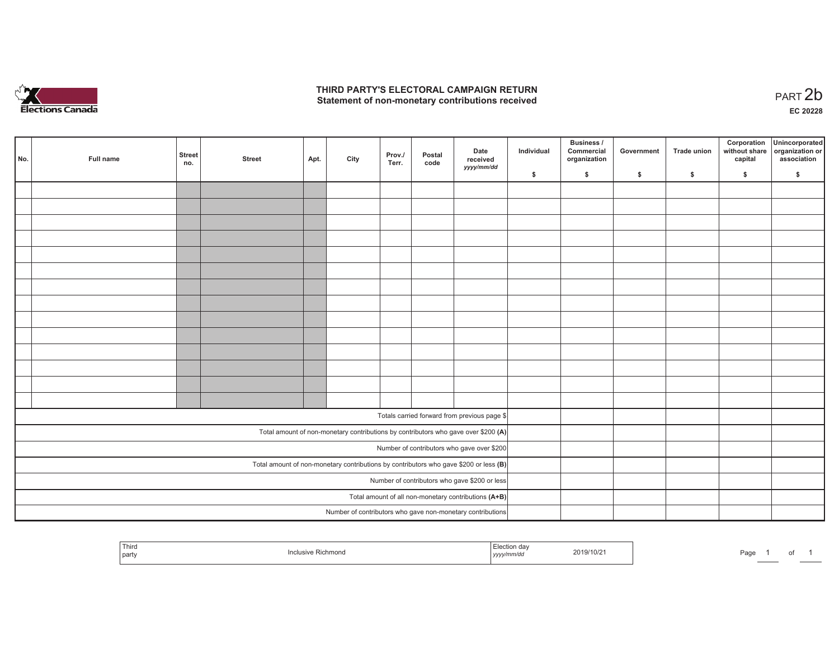

## **THIRD PARTY'S ELECTORAL CAMPAIGN RETURN**  THIRD PARTY'S ELECTORAL CAMPAIGN RETURN<br>Statement of non-monetary contributions received

| No.                                                                                   | Full name | <b>Street</b><br>no.                                 | <b>Street</b> | Apt. | City | Prov./<br>Terr. | Postal<br>code | Date<br>received<br>yyyy/mm/dd                             | Individual | <b>Business /</b><br>Commercial<br>organization | Government | Trade union | Corporation<br>capital | Unincorporated<br>without share organization or<br>association |
|---------------------------------------------------------------------------------------|-----------|------------------------------------------------------|---------------|------|------|-----------------|----------------|------------------------------------------------------------|------------|-------------------------------------------------|------------|-------------|------------------------|----------------------------------------------------------------|
|                                                                                       |           |                                                      |               |      |      |                 |                |                                                            | \$         | \$                                              | \$         | \$          | \$                     | \$                                                             |
|                                                                                       |           |                                                      |               |      |      |                 |                |                                                            |            |                                                 |            |             |                        |                                                                |
|                                                                                       |           |                                                      |               |      |      |                 |                |                                                            |            |                                                 |            |             |                        |                                                                |
|                                                                                       |           |                                                      |               |      |      |                 |                |                                                            |            |                                                 |            |             |                        |                                                                |
|                                                                                       |           |                                                      |               |      |      |                 |                |                                                            |            |                                                 |            |             |                        |                                                                |
|                                                                                       |           |                                                      |               |      |      |                 |                |                                                            |            |                                                 |            |             |                        |                                                                |
|                                                                                       |           |                                                      |               |      |      |                 |                |                                                            |            |                                                 |            |             |                        |                                                                |
|                                                                                       |           |                                                      |               |      |      |                 |                |                                                            |            |                                                 |            |             |                        |                                                                |
|                                                                                       |           |                                                      |               |      |      |                 |                |                                                            |            |                                                 |            |             |                        |                                                                |
|                                                                                       |           |                                                      |               |      |      |                 |                |                                                            |            |                                                 |            |             |                        |                                                                |
|                                                                                       |           |                                                      |               |      |      |                 |                |                                                            |            |                                                 |            |             |                        |                                                                |
|                                                                                       |           |                                                      |               |      |      |                 |                |                                                            |            |                                                 |            |             |                        |                                                                |
|                                                                                       |           |                                                      |               |      |      |                 |                |                                                            |            |                                                 |            |             |                        |                                                                |
|                                                                                       |           |                                                      |               |      |      |                 |                |                                                            |            |                                                 |            |             |                        |                                                                |
|                                                                                       |           |                                                      |               |      |      |                 |                |                                                            |            |                                                 |            |             |                        |                                                                |
|                                                                                       |           |                                                      |               |      |      |                 |                | Totals carried forward from previous page \$               |            |                                                 |            |             |                        |                                                                |
|                                                                                       |           |                                                      |               |      |      |                 |                |                                                            |            |                                                 |            |             |                        |                                                                |
| Total amount of non-monetary contributions by contributors who gave over \$200 (A)    |           |                                                      |               |      |      |                 |                |                                                            |            |                                                 |            |             |                        |                                                                |
| Number of contributors who gave over \$200                                            |           |                                                      |               |      |      |                 |                |                                                            |            |                                                 |            |             |                        |                                                                |
| Total amount of non-monetary contributions by contributors who gave \$200 or less (B) |           |                                                      |               |      |      |                 |                |                                                            |            |                                                 |            |             |                        |                                                                |
| Number of contributors who gave \$200 or less                                         |           |                                                      |               |      |      |                 |                |                                                            |            |                                                 |            |             |                        |                                                                |
|                                                                                       |           | Total amount of all non-monetary contributions (A+B) |               |      |      |                 |                |                                                            |            |                                                 |            |             |                        |                                                                |
|                                                                                       |           |                                                      |               |      |      |                 |                | Number of contributors who gave non-monetary contributions |            |                                                 |            |             |                        |                                                                |

| Thira<br>mon<br>  part<br>11111 | 'CTIO<br>019/10/2<br>mnvac<br>ーソソソン | Page |
|---------------------------------|-------------------------------------|------|
|---------------------------------|-------------------------------------|------|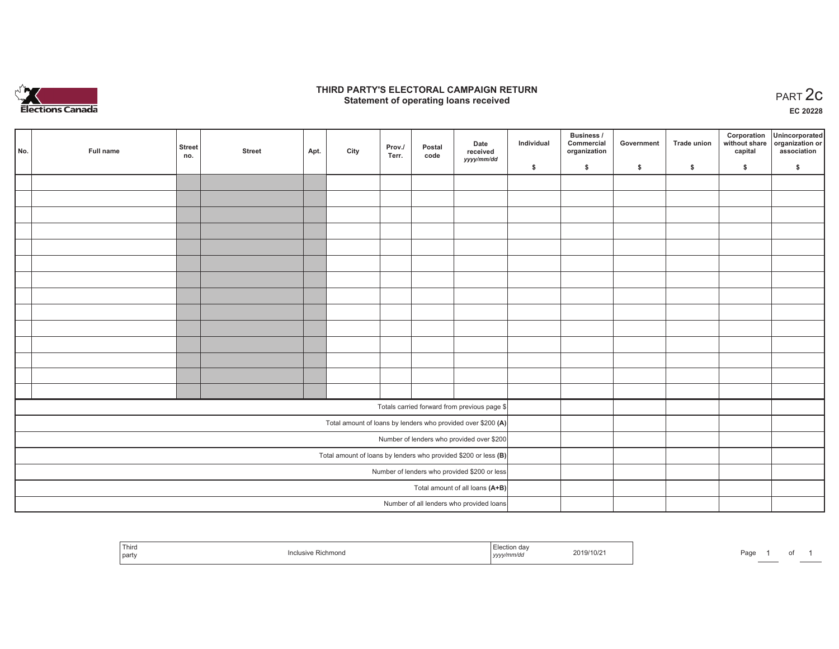

## **THIRD PARTY'S ELECTORAL CAMPAIGN RETURN STATE:** PARTY'S ELECTORAL CAMPAIGN RETURN<br>
Statement of operating loans received

**EC 20228**

| No.                                                               | Full name | <b>Street</b><br>no. | <b>Street</b> | Apt. | City | Prov./<br>Terr. | Postal<br>code | Date<br>received                                             | Individual | Business /<br>Commercial<br>organization | Government | Trade union | Corporation<br>capital | Unincorporated<br>without share organization or<br>association |
|-------------------------------------------------------------------|-----------|----------------------|---------------|------|------|-----------------|----------------|--------------------------------------------------------------|------------|------------------------------------------|------------|-------------|------------------------|----------------------------------------------------------------|
|                                                                   |           |                      |               |      |      |                 |                | yyyy/mm/dd                                                   | \$         | \$                                       | \$         | \$          | \$                     | \$                                                             |
|                                                                   |           |                      |               |      |      |                 |                |                                                              |            |                                          |            |             |                        |                                                                |
|                                                                   |           |                      |               |      |      |                 |                |                                                              |            |                                          |            |             |                        |                                                                |
|                                                                   |           |                      |               |      |      |                 |                |                                                              |            |                                          |            |             |                        |                                                                |
|                                                                   |           |                      |               |      |      |                 |                |                                                              |            |                                          |            |             |                        |                                                                |
|                                                                   |           |                      |               |      |      |                 |                |                                                              |            |                                          |            |             |                        |                                                                |
|                                                                   |           |                      |               |      |      |                 |                |                                                              |            |                                          |            |             |                        |                                                                |
|                                                                   |           |                      |               |      |      |                 |                |                                                              |            |                                          |            |             |                        |                                                                |
|                                                                   |           |                      |               |      |      |                 |                |                                                              |            |                                          |            |             |                        |                                                                |
|                                                                   |           |                      |               |      |      |                 |                |                                                              |            |                                          |            |             |                        |                                                                |
|                                                                   |           |                      |               |      |      |                 |                |                                                              |            |                                          |            |             |                        |                                                                |
|                                                                   |           |                      |               |      |      |                 |                |                                                              |            |                                          |            |             |                        |                                                                |
|                                                                   |           |                      |               |      |      |                 |                |                                                              |            |                                          |            |             |                        |                                                                |
|                                                                   |           |                      |               |      |      |                 |                |                                                              |            |                                          |            |             |                        |                                                                |
|                                                                   |           |                      |               |      |      |                 |                |                                                              |            |                                          |            |             |                        |                                                                |
|                                                                   |           |                      |               |      |      |                 |                | Totals carried forward from previous page \$                 |            |                                          |            |             |                        |                                                                |
|                                                                   |           |                      |               |      |      |                 |                | Total amount of loans by lenders who provided over \$200 (A) |            |                                          |            |             |                        |                                                                |
|                                                                   |           |                      |               |      |      |                 |                | Number of lenders who provided over \$200                    |            |                                          |            |             |                        |                                                                |
| Total amount of loans by lenders who provided \$200 or less $(B)$ |           |                      |               |      |      |                 |                |                                                              |            |                                          |            |             |                        |                                                                |
| Number of lenders who provided \$200 or less                      |           |                      |               |      |      |                 |                |                                                              |            |                                          |            |             |                        |                                                                |
| Total amount of all loans (A+B)                                   |           |                      |               |      |      |                 |                |                                                              |            |                                          |            |             |                        |                                                                |
|                                                                   |           |                      |               |      |      |                 |                | Number of all lenders who provided loans                     |            |                                          |            |             |                        |                                                                |

| Third<br>Richmond<br>Inc<br>part | :019/10/21<br>yyyy/mm/dd | Page<br>_____ |
|----------------------------------|--------------------------|---------------|
|----------------------------------|--------------------------|---------------|

of 1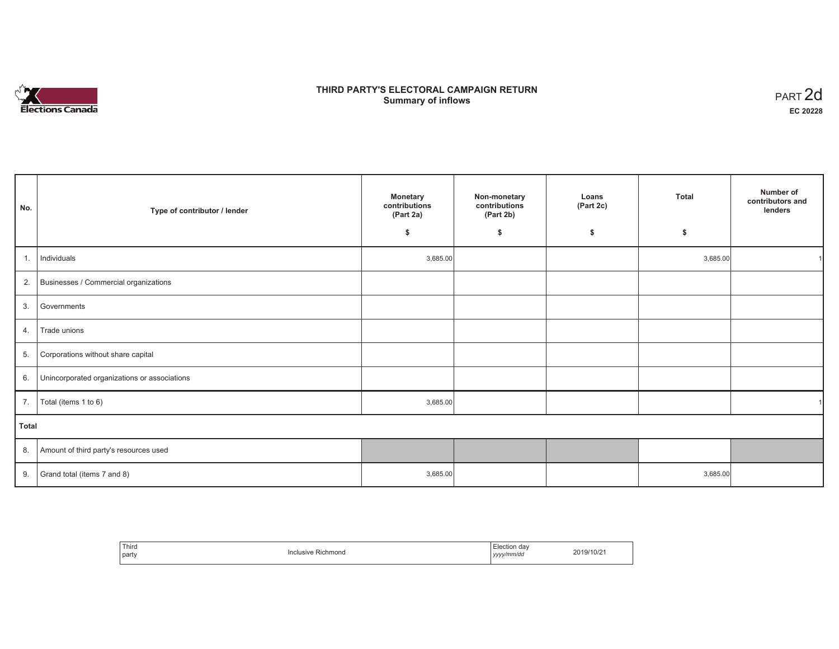

# **THIRD PARTY'S ELECTORAL CAMPAIGN RETURN Summary of inflows** PART 2d

| No.   | Type of contributor / lender                    | <b>Monetary</b><br>contributions<br>(Part 2a) | Non-monetary<br>contributions<br>(Part 2b) | Loans<br>(Part 2c) | <b>Total</b> | Number of<br>contributors and<br>lenders |
|-------|-------------------------------------------------|-----------------------------------------------|--------------------------------------------|--------------------|--------------|------------------------------------------|
|       |                                                 | -S                                            | \$                                         | \$                 | \$           |                                          |
| 1.    | Individuals                                     | 3,685.00                                      |                                            |                    | 3,685.00     |                                          |
|       | 2. Businesses / Commercial organizations        |                                               |                                            |                    |              |                                          |
| 3.    | Governments                                     |                                               |                                            |                    |              |                                          |
| 4.    | Trade unions                                    |                                               |                                            |                    |              |                                          |
| 5.    | Corporations without share capital              |                                               |                                            |                    |              |                                          |
|       | 6. Unincorporated organizations or associations |                                               |                                            |                    |              |                                          |
|       | 7. $\boxed{\text{Total (items 1 to 6)}}$        | 3,685.00                                      |                                            |                    |              |                                          |
| Total |                                                 |                                               |                                            |                    |              |                                          |
|       | 8. Amount of third party's resources used       |                                               |                                            |                    |              |                                          |
| 9.    | Grand total (items 7 and 8)                     | 3,685.00                                      |                                            |                    | 3,685.00     |                                          |

| Third<br>party | Richmond<br>. | ±lection<br>da\<br>.<br>' vyyy/mm/do<br>,,,, | 1 Q /<br>$^{\prime\prime}$ IVI $\sim$ . |
|----------------|---------------|----------------------------------------------|-----------------------------------------|
|----------------|---------------|----------------------------------------------|-----------------------------------------|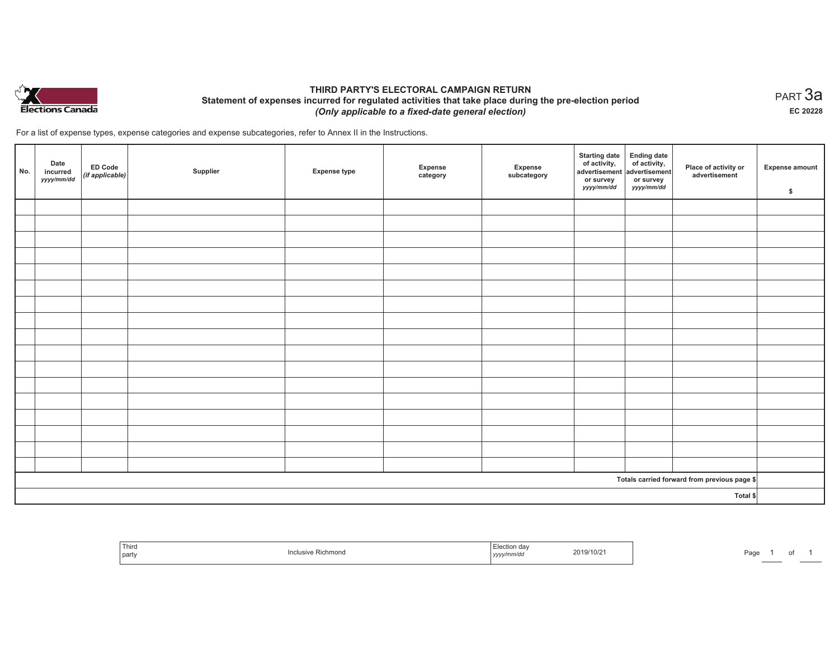

## **THIRD PARTY'S ELECTORAL CAMPAIGN RETURN Statement of expenses incurred for regulated activities that take place during the pre-election period**  *(Only applicable to a fixed-date general election)*

For a list of expense types, expense categories and expense subcategories, refer to Annex II in the Instructions.

| No.                                          | Date<br>incurred<br>yyyy/mm/dd | <b>ED Code</b><br>$($ if applicable $)$ | Supplier | <b>Expense type</b> | Expense<br>category | Expense<br>subcategory | <b>Starting date</b><br>of activity,<br>advertisement<br>or survey<br>yyyy/mm/dd | Ending date<br>of activity,<br>advertisement<br>or survey<br>yyyy/mm/dd | Place of activity or<br>advertisement | Expense amount<br>\$ |
|----------------------------------------------|--------------------------------|-----------------------------------------|----------|---------------------|---------------------|------------------------|----------------------------------------------------------------------------------|-------------------------------------------------------------------------|---------------------------------------|----------------------|
|                                              |                                |                                         |          |                     |                     |                        |                                                                                  |                                                                         |                                       |                      |
|                                              |                                |                                         |          |                     |                     |                        |                                                                                  |                                                                         |                                       |                      |
|                                              |                                |                                         |          |                     |                     |                        |                                                                                  |                                                                         |                                       |                      |
|                                              |                                |                                         |          |                     |                     |                        |                                                                                  |                                                                         |                                       |                      |
|                                              |                                |                                         |          |                     |                     |                        |                                                                                  |                                                                         |                                       |                      |
|                                              |                                |                                         |          |                     |                     |                        |                                                                                  |                                                                         |                                       |                      |
|                                              |                                |                                         |          |                     |                     |                        |                                                                                  |                                                                         |                                       |                      |
|                                              |                                |                                         |          |                     |                     |                        |                                                                                  |                                                                         |                                       |                      |
|                                              |                                |                                         |          |                     |                     |                        |                                                                                  |                                                                         |                                       |                      |
|                                              |                                |                                         |          |                     |                     |                        |                                                                                  |                                                                         |                                       |                      |
|                                              |                                |                                         |          |                     |                     |                        |                                                                                  |                                                                         |                                       |                      |
|                                              |                                |                                         |          |                     |                     |                        |                                                                                  |                                                                         |                                       |                      |
|                                              |                                |                                         |          |                     |                     |                        |                                                                                  |                                                                         |                                       |                      |
|                                              |                                |                                         |          |                     |                     |                        |                                                                                  |                                                                         |                                       |                      |
|                                              |                                |                                         |          |                     |                     |                        |                                                                                  |                                                                         |                                       |                      |
|                                              |                                |                                         |          |                     |                     |                        |                                                                                  |                                                                         |                                       |                      |
|                                              |                                |                                         |          |                     |                     |                        |                                                                                  |                                                                         |                                       |                      |
| Totals carried forward from previous page \$ |                                |                                         |          |                     |                     |                        |                                                                                  |                                                                         |                                       |                      |
| Total \$                                     |                                |                                         |          |                     |                     |                        |                                                                                  |                                                                         |                                       |                      |

| Third<br>' part | : Richmond | the contract of the con-<br>2019/10/21<br><br>ーリンソン | Page |
|-----------------|------------|-----------------------------------------------------|------|
|-----------------|------------|-----------------------------------------------------|------|

 $_{\sf PART}$ 3a **EC 20228**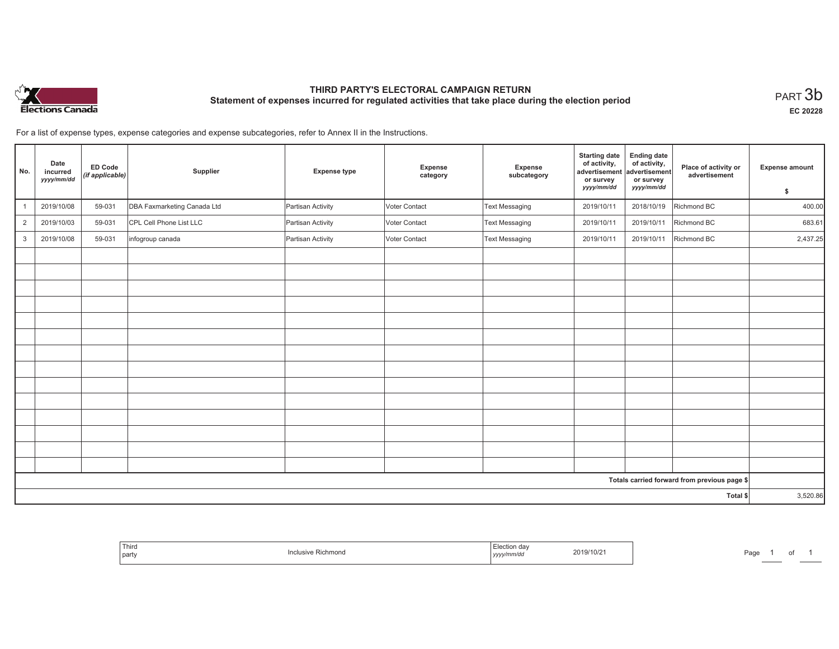

# **THIRD PARTY'S ELECTORAL CAMPAIGN RETURN Statement of expenses incurred for regulated activities that take place during the election period**<br>PART  $3\mathsf{b}$

**EC 20228**

1 of 1

For a list of expense types, expense categories and expense subcategories, refer to Annex II in the Instructions.

| No.                                          | Date<br>incurred<br>yyyy/mm/dd | <b>ED Code</b><br>(if applicable) | Supplier                    | <b>Expense type</b> | Expense<br>category | Expense<br>subcategory | <b>Starting date</b><br>of activity,<br>advertisement<br>or survey<br>yyyy/mm/dd | <b>Ending date</b><br>of activity,<br>advertisement<br>or survey<br>yyyy/mm/dd | Place of activity or<br>advertisement | <b>Expense amount</b><br>\$ |
|----------------------------------------------|--------------------------------|-----------------------------------|-----------------------------|---------------------|---------------------|------------------------|----------------------------------------------------------------------------------|--------------------------------------------------------------------------------|---------------------------------------|-----------------------------|
|                                              |                                |                                   |                             |                     |                     |                        |                                                                                  |                                                                                |                                       |                             |
|                                              | 2019/10/08                     | 59-031                            | DBA Faxmarketing Canada Ltd | Partisan Activity   | Voter Contact       | Text Messaging         | 2019/10/11                                                                       | 2018/10/19                                                                     | Richmond BC                           | 400.00                      |
| $\overline{2}$                               | 2019/10/03                     | 59-031                            | CPL Cell Phone List LLC     | Partisan Activity   | Voter Contact       | Text Messaging         | 2019/10/11                                                                       | 2019/10/11                                                                     | Richmond BC                           | 683.61                      |
| 3                                            | 2019/10/08                     | 59-031                            | infogroup canada            | Partisan Activity   | Voter Contact       | Text Messaging         | 2019/10/11                                                                       | 2019/10/11                                                                     | Richmond BC                           | 2,437.25                    |
|                                              |                                |                                   |                             |                     |                     |                        |                                                                                  |                                                                                |                                       |                             |
|                                              |                                |                                   |                             |                     |                     |                        |                                                                                  |                                                                                |                                       |                             |
|                                              |                                |                                   |                             |                     |                     |                        |                                                                                  |                                                                                |                                       |                             |
|                                              |                                |                                   |                             |                     |                     |                        |                                                                                  |                                                                                |                                       |                             |
|                                              |                                |                                   |                             |                     |                     |                        |                                                                                  |                                                                                |                                       |                             |
|                                              |                                |                                   |                             |                     |                     |                        |                                                                                  |                                                                                |                                       |                             |
|                                              |                                |                                   |                             |                     |                     |                        |                                                                                  |                                                                                |                                       |                             |
|                                              |                                |                                   |                             |                     |                     |                        |                                                                                  |                                                                                |                                       |                             |
|                                              |                                |                                   |                             |                     |                     |                        |                                                                                  |                                                                                |                                       |                             |
|                                              |                                |                                   |                             |                     |                     |                        |                                                                                  |                                                                                |                                       |                             |
|                                              |                                |                                   |                             |                     |                     |                        |                                                                                  |                                                                                |                                       |                             |
|                                              |                                |                                   |                             |                     |                     |                        |                                                                                  |                                                                                |                                       |                             |
|                                              |                                |                                   |                             |                     |                     |                        |                                                                                  |                                                                                |                                       |                             |
|                                              |                                |                                   |                             |                     |                     |                        |                                                                                  |                                                                                |                                       |                             |
| Totals carried forward from previous page \$ |                                |                                   |                             |                     |                     |                        |                                                                                  |                                                                                |                                       |                             |
| Total \$                                     |                                |                                   |                             |                     |                     | 3,520.86               |                                                                                  |                                                                                |                                       |                             |

| Third<br>Richmond<br>inciusive<br>party | n da<br>2219/10/z<br>  ソソソソ | $D = 2$<br>uyu |
|-----------------------------------------|-----------------------------|----------------|
|-----------------------------------------|-----------------------------|----------------|